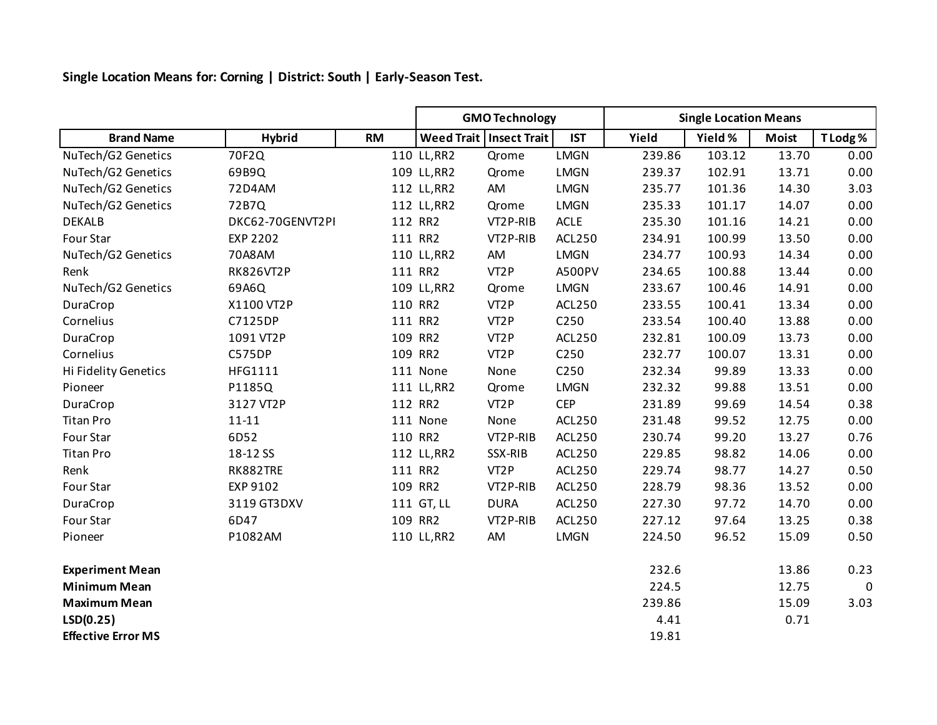**Single Location Means for: Corning | District: South | Early-Season Test.**

|                           |                  |           | <b>GMO Technology</b> |                           |               | <b>Single Location Means</b> |         |              |                |
|---------------------------|------------------|-----------|-----------------------|---------------------------|---------------|------------------------------|---------|--------------|----------------|
| <b>Brand Name</b>         | <b>Hybrid</b>    | <b>RM</b> |                       | Weed Trait   Insect Trait | <b>IST</b>    | Yield                        | Yield % | <b>Moist</b> | T Lodg %       |
| NuTech/G2 Genetics        | 70F2Q            |           | 110 LL, RR2           | Qrome                     | <b>LMGN</b>   | 239.86                       | 103.12  | 13.70        | 0.00           |
| NuTech/G2 Genetics        | 69B9Q            |           | 109 LL, RR2           | Qrome                     | <b>LMGN</b>   | 239.37                       | 102.91  | 13.71        | 0.00           |
| NuTech/G2 Genetics        | 72D4AM           |           | 112 LL, RR2           | AM                        | LMGN          | 235.77                       | 101.36  | 14.30        | 3.03           |
| NuTech/G2 Genetics        | 72B7Q            |           | 112 LL, RR2           | Qrome                     | <b>LMGN</b>   | 235.33                       | 101.17  | 14.07        | 0.00           |
| <b>DEKALB</b>             | DKC62-70GENVT2PI |           | 112 RR2               | VT2P-RIB                  | ACLE          | 235.30                       | 101.16  | 14.21        | 0.00           |
| Four Star                 | <b>EXP 2202</b>  |           | 111 RR2               | VT2P-RIB                  | <b>ACL250</b> | 234.91                       | 100.99  | 13.50        | 0.00           |
| NuTech/G2 Genetics        | 70A8AM           |           | 110 LL, RR2           | AM                        | <b>LMGN</b>   | 234.77                       | 100.93  | 14.34        | 0.00           |
| Renk                      | <b>RK826VT2P</b> |           | 111 RR2               | VT <sub>2</sub> P         | A500PV        | 234.65                       | 100.88  | 13.44        | 0.00           |
| NuTech/G2 Genetics        | 69A6Q            |           | 109 LL, RR2           | Qrome                     | LMGN          | 233.67                       | 100.46  | 14.91        | 0.00           |
| DuraCrop                  | X1100 VT2P       |           | 110 RR2               | VT <sub>2</sub> P         | <b>ACL250</b> | 233.55                       | 100.41  | 13.34        | 0.00           |
| Cornelius                 | C7125DP          |           | 111 RR2               | VT <sub>2</sub> P         | C250          | 233.54                       | 100.40  | 13.88        | 0.00           |
| DuraCrop                  | 1091 VT2P        |           | 109 RR2               | VT <sub>2</sub> P         | <b>ACL250</b> | 232.81                       | 100.09  | 13.73        | 0.00           |
| Cornelius                 | <b>C575DP</b>    |           | 109 RR2               | VT <sub>2</sub> P         | C250          | 232.77                       | 100.07  | 13.31        | 0.00           |
| Hi Fidelity Genetics      | <b>HFG1111</b>   |           | 111 None              | None                      | C250          | 232.34                       | 99.89   | 13.33        | 0.00           |
| Pioneer                   | P1185Q           |           | 111 LL, RR2           | Qrome                     | <b>LMGN</b>   | 232.32                       | 99.88   | 13.51        | 0.00           |
| DuraCrop                  | 3127 VT2P        |           | 112 RR2               | VT <sub>2</sub> P         | <b>CEP</b>    | 231.89                       | 99.69   | 14.54        | 0.38           |
| <b>Titan Pro</b>          | $11 - 11$        |           | 111 None              | None                      | <b>ACL250</b> | 231.48                       | 99.52   | 12.75        | 0.00           |
| Four Star                 | 6D52             |           | 110 RR2               | VT2P-RIB                  | <b>ACL250</b> | 230.74                       | 99.20   | 13.27        | 0.76           |
| <b>Titan Pro</b>          | 18-12 SS         |           | 112 LL, RR2           | SSX-RIB                   | <b>ACL250</b> | 229.85                       | 98.82   | 14.06        | 0.00           |
| Renk                      | RK882TRE         |           | 111 RR2               | VT <sub>2</sub> P         | <b>ACL250</b> | 229.74                       | 98.77   | 14.27        | 0.50           |
| Four Star                 | EXP 9102         |           | 109 RR2               | VT2P-RIB                  | <b>ACL250</b> | 228.79                       | 98.36   | 13.52        | 0.00           |
| DuraCrop                  | 3119 GT3DXV      |           | 111 GT, LL            | <b>DURA</b>               | <b>ACL250</b> | 227.30                       | 97.72   | 14.70        | 0.00           |
| Four Star                 | 6D47             |           | 109 RR2               | VT2P-RIB                  | <b>ACL250</b> | 227.12                       | 97.64   | 13.25        | 0.38           |
| Pioneer                   | P1082AM          |           | 110 LL, RR2           | AM                        | <b>LMGN</b>   | 224.50                       | 96.52   | 15.09        | 0.50           |
| <b>Experiment Mean</b>    |                  |           |                       |                           |               | 232.6                        |         | 13.86        | 0.23           |
| <b>Minimum Mean</b>       |                  |           |                       |                           |               | 224.5                        |         | 12.75        | $\overline{0}$ |
| <b>Maximum Mean</b>       |                  |           |                       |                           |               | 239.86                       |         | 15.09        | 3.03           |
| LSD(0.25)                 |                  |           |                       |                           |               | 4.41                         |         | 0.71         |                |
| <b>Effective Error MS</b> |                  |           |                       |                           |               | 19.81                        |         |              |                |